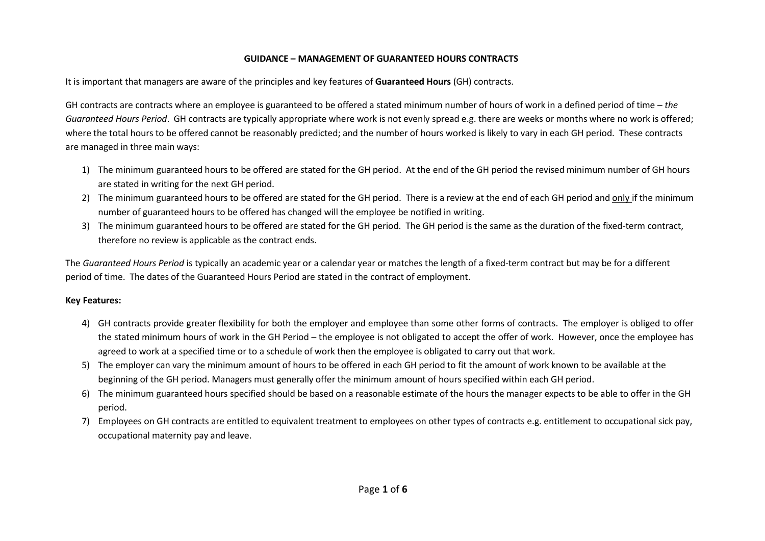## **GUIDANCE – MANAGEMENT OF GUARANTEED HOURS CONTRACTS**

It is important that managers are aware of the principles and key features of **Guaranteed Hours** (GH) contracts.

GH contracts are contracts where an employee is guaranteed to be offered a stated minimum number of hours of work in a defined period of time – *the Guaranteed Hours Period*. GH contracts are typically appropriate where work is not evenly spread e.g. there are weeks or months where no work is offered; where the total hours to be offered cannot be reasonably predicted; and the number of hours worked is likely to vary in each GH period. These contracts are managed in three main ways:

- 1) The minimum guaranteed hours to be offered are stated for the GH period. At the end of the GH period the revised minimum number of GH hours are stated in writing for the next GH period.
- 2) The minimum guaranteed hours to be offered are stated for the GH period. There is a review at the end of each GH period and only if the minimum number of guaranteed hours to be offered has changed will the employee be notified in writing.
- 3) The minimum guaranteed hours to be offered are stated for the GH period. The GH period is the same as the duration of the fixed-term contract, therefore no review is applicable as the contract ends.

The *Guaranteed Hours Period* is typically an academic year or a calendar year or matches the length of a fixed-term contract but may be for a different period of time. The dates of the Guaranteed Hours Period are stated in the contract of employment.

## **Key Features:**

- 4) GH contracts provide greater flexibility for both the employer and employee than some other forms of contracts. The employer is obliged to offer the stated minimum hours of work in the GH Period – the employee is not obligated to accept the offer of work. However, once the employee has agreed to work at a specified time or to a schedule of work then the employee is obligated to carry out that work.
- 5) The employer can vary the minimum amount of hours to be offered in each GH period to fit the amount of work known to be available at the beginning of the GH period. Managers must generally offer the minimum amount of hours specified within each GH period.
- 6) The minimum guaranteed hours specified should be based on a reasonable estimate of the hours the manager expects to be able to offer in the GH period.
- 7) Employees on GH contracts are entitled to equivalent treatment to employees on other types of contracts e.g. entitlement to occupational sick pay, occupational maternity pay and leave.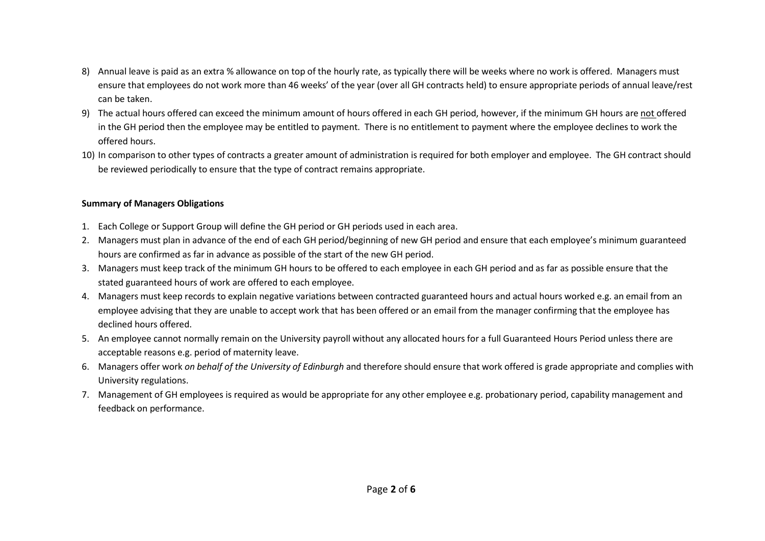- 8) Annual leave is paid as an extra % allowance on top of the hourly rate, as typically there will be weeks where no work is offered. Managers must ensure that employees do not work more than 46 weeks' of the year (over all GH contracts held) to ensure appropriate periods of annual leave/rest can be taken.
- 9) The actual hours offered can exceed the minimum amount of hours offered in each GH period, however, if the minimum GH hours are not offered in the GH period then the employee may be entitled to payment. There is no entitlement to payment where the employee declines to work the offered hours.
- 10) In comparison to other types of contracts a greater amount of administration is required for both employer and employee. The GH contract should be reviewed periodically to ensure that the type of contract remains appropriate.

## **Summary of Managers Obligations**

- 1. Each College or Support Group will define the GH period or GH periods used in each area.
- 2. Managers must plan in advance of the end of each GH period/beginning of new GH period and ensure that each employee's minimum guaranteed hours are confirmed as far in advance as possible of the start of the new GH period.
- 3. Managers must keep track of the minimum GH hours to be offered to each employee in each GH period and as far as possible ensure that the stated guaranteed hours of work are offered to each employee.
- 4. Managers must keep records to explain negative variations between contracted guaranteed hours and actual hours worked e.g. an email from an employee advising that they are unable to accept work that has been offered or an email from the manager confirming that the employee has declined hours offered.
- 5. An employee cannot normally remain on the University payroll without any allocated hours for a full Guaranteed Hours Period unless there are acceptable reasons e.g. period of maternity leave.
- 6. Managers offer work *on behalf of the University of Edinburgh* and therefore should ensure that work offered is grade appropriate and complies with University regulations.
- 7. Management of GH employees is required as would be appropriate for any other employee e.g. probationary period, capability management and feedback on performance.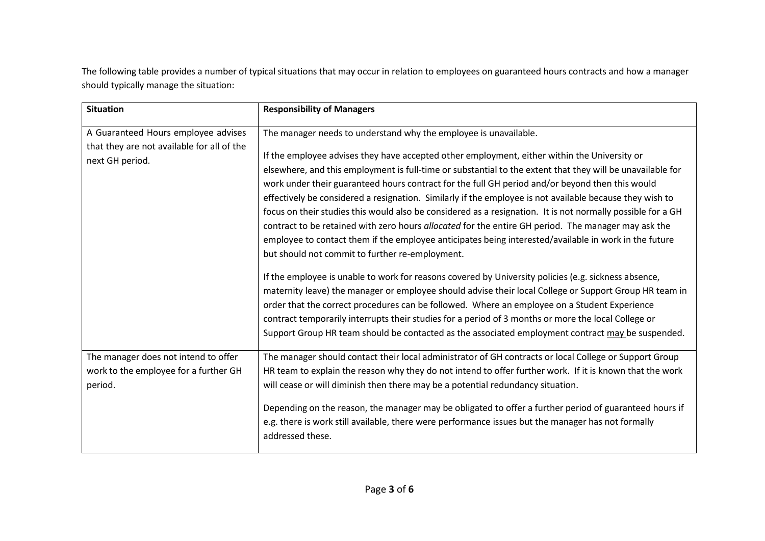The following table provides a number of typical situations that may occur in relation to employees on guaranteed hours contracts and how a manager should typically manage the situation:

| <b>Situation</b>                                                                                     | <b>Responsibility of Managers</b>                                                                                                                                                                                                                                                                                                                                                                                                                                                                                                                                                                                                                                                                                                                                                                                                                                                                                                                                                       |
|------------------------------------------------------------------------------------------------------|-----------------------------------------------------------------------------------------------------------------------------------------------------------------------------------------------------------------------------------------------------------------------------------------------------------------------------------------------------------------------------------------------------------------------------------------------------------------------------------------------------------------------------------------------------------------------------------------------------------------------------------------------------------------------------------------------------------------------------------------------------------------------------------------------------------------------------------------------------------------------------------------------------------------------------------------------------------------------------------------|
| A Guaranteed Hours employee advises<br>that they are not available for all of the<br>next GH period. | The manager needs to understand why the employee is unavailable.<br>If the employee advises they have accepted other employment, either within the University or<br>elsewhere, and this employment is full-time or substantial to the extent that they will be unavailable for<br>work under their guaranteed hours contract for the full GH period and/or beyond then this would<br>effectively be considered a resignation. Similarly if the employee is not available because they wish to<br>focus on their studies this would also be considered as a resignation. It is not normally possible for a GH<br>contract to be retained with zero hours allocated for the entire GH period. The manager may ask the<br>employee to contact them if the employee anticipates being interested/available in work in the future<br>but should not commit to further re-employment.<br>If the employee is unable to work for reasons covered by University policies (e.g. sickness absence, |
|                                                                                                      | maternity leave) the manager or employee should advise their local College or Support Group HR team in<br>order that the correct procedures can be followed. Where an employee on a Student Experience<br>contract temporarily interrupts their studies for a period of 3 months or more the local College or<br>Support Group HR team should be contacted as the associated employment contract may be suspended.                                                                                                                                                                                                                                                                                                                                                                                                                                                                                                                                                                      |
| The manager does not intend to offer<br>work to the employee for a further GH<br>period.             | The manager should contact their local administrator of GH contracts or local College or Support Group<br>HR team to explain the reason why they do not intend to offer further work. If it is known that the work<br>will cease or will diminish then there may be a potential redundancy situation.<br>Depending on the reason, the manager may be obligated to offer a further period of guaranteed hours if<br>e.g. there is work still available, there were performance issues but the manager has not formally<br>addressed these.                                                                                                                                                                                                                                                                                                                                                                                                                                               |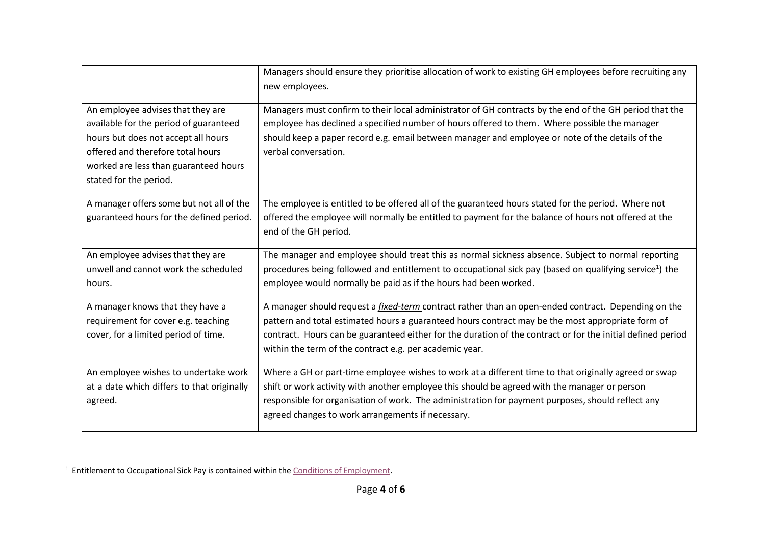|                                                                                                                                                                                                                            | Managers should ensure they prioritise allocation of work to existing GH employees before recruiting any<br>new employees.                                                                                                                                                                                                                                                                |
|----------------------------------------------------------------------------------------------------------------------------------------------------------------------------------------------------------------------------|-------------------------------------------------------------------------------------------------------------------------------------------------------------------------------------------------------------------------------------------------------------------------------------------------------------------------------------------------------------------------------------------|
| An employee advises that they are<br>available for the period of guaranteed<br>hours but does not accept all hours<br>offered and therefore total hours<br>worked are less than guaranteed hours<br>stated for the period. | Managers must confirm to their local administrator of GH contracts by the end of the GH period that the<br>employee has declined a specified number of hours offered to them. Where possible the manager<br>should keep a paper record e.g. email between manager and employee or note of the details of the<br>verbal conversation.                                                      |
| A manager offers some but not all of the<br>guaranteed hours for the defined period.                                                                                                                                       | The employee is entitled to be offered all of the guaranteed hours stated for the period. Where not<br>offered the employee will normally be entitled to payment for the balance of hours not offered at the<br>end of the GH period.                                                                                                                                                     |
| An employee advises that they are<br>unwell and cannot work the scheduled<br>hours.                                                                                                                                        | The manager and employee should treat this as normal sickness absence. Subject to normal reporting<br>procedures being followed and entitlement to occupational sick pay (based on qualifying service <sup>1</sup> ) the<br>employee would normally be paid as if the hours had been worked.                                                                                              |
| A manager knows that they have a<br>requirement for cover e.g. teaching<br>cover, for a limited period of time.                                                                                                            | A manager should request a <i>fixed-term</i> contract rather than an open-ended contract. Depending on the<br>pattern and total estimated hours a guaranteed hours contract may be the most appropriate form of<br>contract. Hours can be guaranteed either for the duration of the contract or for the initial defined period<br>within the term of the contract e.g. per academic year. |
| An employee wishes to undertake work<br>at a date which differs to that originally<br>agreed.                                                                                                                              | Where a GH or part-time employee wishes to work at a different time to that originally agreed or swap<br>shift or work activity with another employee this should be agreed with the manager or person<br>responsible for organisation of work. The administration for payment purposes, should reflect any<br>agreed changes to work arrangements if necessary.                          |

 $1$  Entitlement to Occupational Sick Pay is contained within the  $\underline{\text{Conditions of Employment}}.$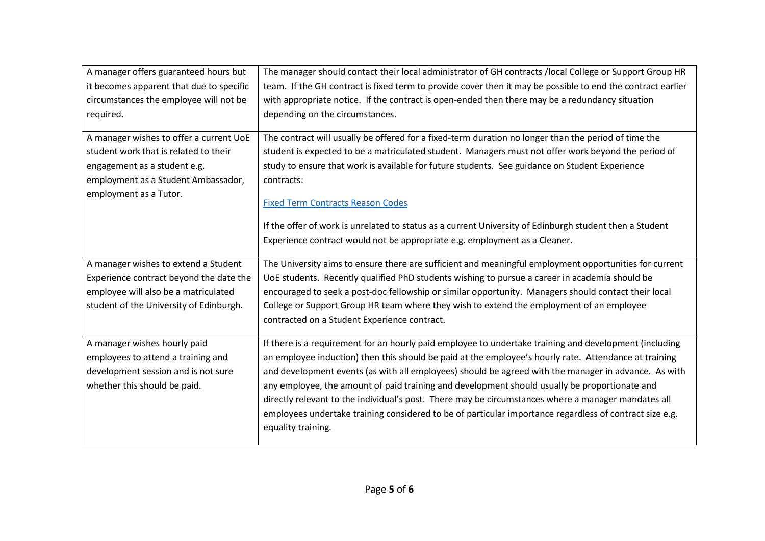| A manager offers guaranteed hours but    | The manager should contact their local administrator of GH contracts /local College or Support Group HR     |
|------------------------------------------|-------------------------------------------------------------------------------------------------------------|
| it becomes apparent that due to specific | team. If the GH contract is fixed term to provide cover then it may be possible to end the contract earlier |
| circumstances the employee will not be   | with appropriate notice. If the contract is open-ended then there may be a redundancy situation             |
| required.                                | depending on the circumstances.                                                                             |
| A manager wishes to offer a current UoE  | The contract will usually be offered for a fixed-term duration no longer than the period of time the        |
| student work that is related to their    | student is expected to be a matriculated student. Managers must not offer work beyond the period of         |
|                                          | study to ensure that work is available for future students. See guidance on Student Experience              |
| engagement as a student e.g.             |                                                                                                             |
| employment as a Student Ambassador,      | contracts:                                                                                                  |
| employment as a Tutor.                   | <b>Fixed Term Contracts Reason Codes</b>                                                                    |
|                                          |                                                                                                             |
|                                          | If the offer of work is unrelated to status as a current University of Edinburgh student then a Student     |
|                                          | Experience contract would not be appropriate e.g. employment as a Cleaner.                                  |
| A manager wishes to extend a Student     | The University aims to ensure there are sufficient and meaningful employment opportunities for current      |
| Experience contract beyond the date the  | UoE students. Recently qualified PhD students wishing to pursue a career in academia should be              |
| employee will also be a matriculated     | encouraged to seek a post-doc fellowship or similar opportunity. Managers should contact their local        |
| student of the University of Edinburgh.  | College or Support Group HR team where they wish to extend the employment of an employee                    |
|                                          | contracted on a Student Experience contract.                                                                |
| A manager wishes hourly paid             | If there is a requirement for an hourly paid employee to undertake training and development (including      |
| employees to attend a training and       | an employee induction) then this should be paid at the employee's hourly rate. Attendance at training       |
| development session and is not sure      | and development events (as with all employees) should be agreed with the manager in advance. As with        |
| whether this should be paid.             | any employee, the amount of paid training and development should usually be proportionate and               |
|                                          | directly relevant to the individual's post. There may be circumstances where a manager mandates all         |
|                                          | employees undertake training considered to be of particular importance regardless of contract size e.g.     |
|                                          | equality training.                                                                                          |
|                                          |                                                                                                             |